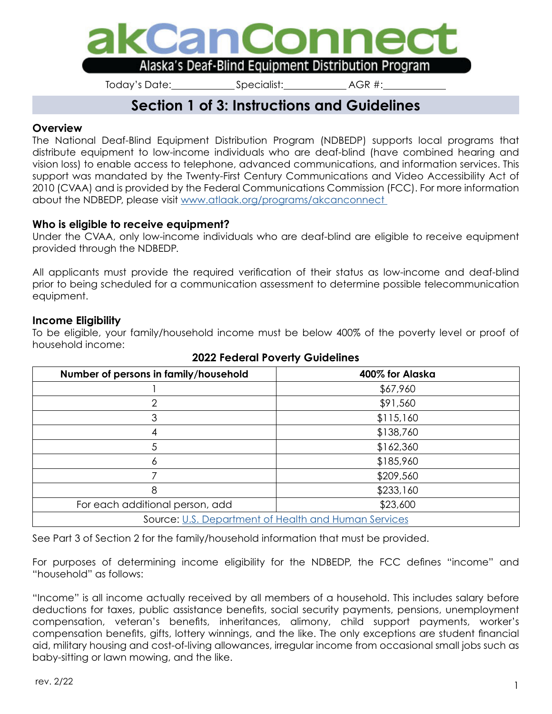

Today's Date: Specialist: AGR #:

# **Section 1 of 3: Instructions and Guidelines**

### **Overview**

The National Deaf-Blind Equipment Distribution Program (NDBEDP) supports local programs that distribute equipment to low-income individuals who are deaf-blind (have combined hearing and vision loss) to enable access to telephone, advanced communications, and information services. This support was mandated by the Twenty-First Century Communications and Video Accessibility Act of 2010 (CVAA) and is provided by the Federal Communications Commission (FCC). For more information about the NDBEDP, please visit [www.atlaak.org/programs/akcanconnect](http://www.atlaak.org/programs/akcanconnect ) 

### **Who is eligible to receive equipment?**

Under the CVAA, only low-income individuals who are deaf-blind are eligible to receive equipment provided through the NDBEDP.

All applicants must provide the required verification of their status as low-income and deaf-blind prior to being scheduled for a communication assessment to determine possible telecommunication equipment.

### **Income Eligibility**

To be eligible, your family/household income must be below 400% of the poverty level or proof of household income:

| Number of persons in family/household                | 400% for Alaska |  |
|------------------------------------------------------|-----------------|--|
|                                                      | \$67,960        |  |
| $\overline{2}$                                       | \$91,560        |  |
| 3                                                    | \$115,160       |  |
|                                                      | \$138,760       |  |
| .5                                                   | \$162,360       |  |
|                                                      | \$185,960       |  |
| \$209,560                                            |                 |  |
| 8                                                    | \$233,160       |  |
| For each additional person, add                      | \$23,600        |  |
| Source: U.S. Department of Health and Human Services |                 |  |

### **2022 Federal Poverty Guidelines**

See Part 3 of Section 2 for the family/household information that must be provided.

For purposes of determining income eligibility for the NDBEDP, the FCC defines "income" and "household" as follows:

"Income" is all income actually received by all members of a household. This includes salary before deductions for taxes, public assistance benefits, social security payments, pensions, unemployment compensation, veteran's benefits, inheritances, alimony, child support payments, worker's compensation benefits, gifts, lottery winnings, and the like. The only exceptions are student financial aid, military housing and cost-of-living allowances, irregular income from occasional small jobs such as baby-sitting or lawn mowing, and the like.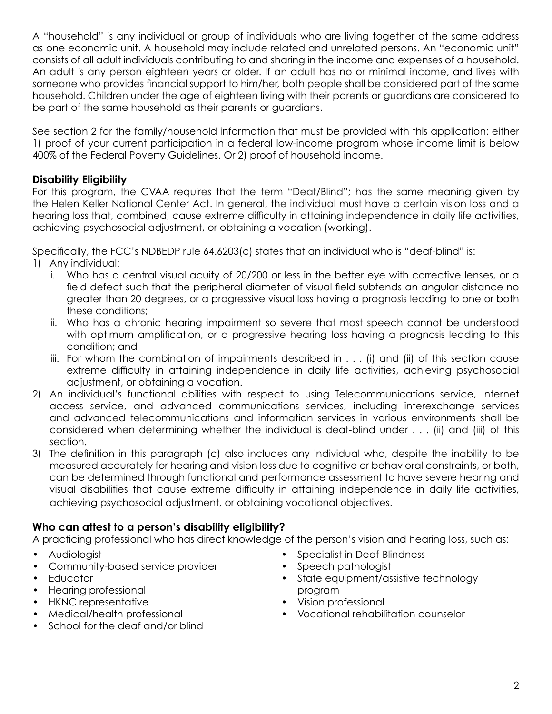A "household" is any individual or group of individuals who are living together at the same address as one economic unit. A household may include related and unrelated persons. An "economic unit" consists of all adult individuals contributing to and sharing in the income and expenses of a household. An adult is any person eighteen years or older. If an adult has no or minimal income, and lives with someone who provides financial support to him/her, both people shall be considered part of the same household. Children under the age of eighteen living with their parents or guardians are considered to be part of the same household as their parents or guardians.

See section 2 for the family/household information that must be provided with this application: either 1) proof of your current participation in a federal low-income program whose income limit is below 400% of the Federal Poverty Guidelines. Or 2) proof of household income.

### **Disability Eligibility**

For this program, the CVAA requires that the term "Deaf/Blind"; has the same meaning given by the Helen Keller National Center Act. In general, the individual must have a certain vision loss and a hearing loss that, combined, cause extreme difficulty in attaining independence in daily life activities, achieving psychosocial adjustment, or obtaining a vocation (working).

Specifically, the FCC's NDBEDP rule 64.6203(c) states that an individual who is "deaf-blind" is:

- 1) Any individual:
	- i. Who has a central visual acuity of 20/200 or less in the better eye with corrective lenses, or a field defect such that the peripheral diameter of visual field subtends an angular distance no greater than 20 degrees, or a progressive visual loss having a prognosis leading to one or both these conditions;
	- ii. Who has a chronic hearing impairment so severe that most speech cannot be understood with optimum amplification, or a progressive hearing loss having a prognosis leading to this condition; and
	- iii. For whom the combination of impairments described in . . . (i) and (ii) of this section cause extreme difficulty in attaining independence in daily life activities, achieving psychosocial adjustment, or obtaining a vocation.
- 2) An individual's functional abilities with respect to using Telecommunications service, Internet access service, and advanced communications services, including interexchange services and advanced telecommunications and information services in various environments shall be considered when determining whether the individual is deaf-blind under . . . (ii) and (iii) of this section.
- 3) The definition in this paragraph (c) also includes any individual who, despite the inability to be measured accurately for hearing and vision loss due to cognitive or behavioral constraints, or both, can be determined through functional and performance assessment to have severe hearing and visual disabilities that cause extreme difficulty in attaining independence in daily life activities, achieving psychosocial adjustment, or obtaining vocational objectives.

## **Who can attest to a person's disability eligibility?**

A practicing professional who has direct knowledge of the person's vision and hearing loss, such as:

- Audiologist
- Community-based service provider
- **Educator**
- Hearing professional
- HKNC representative
- Medical/health professional
- School for the deaf and/or blind
- Specialist in Deaf-Blindness
- Speech pathologist
- State equipment/assistive technology program
- Vision professional
- Vocational rehabilitation counselor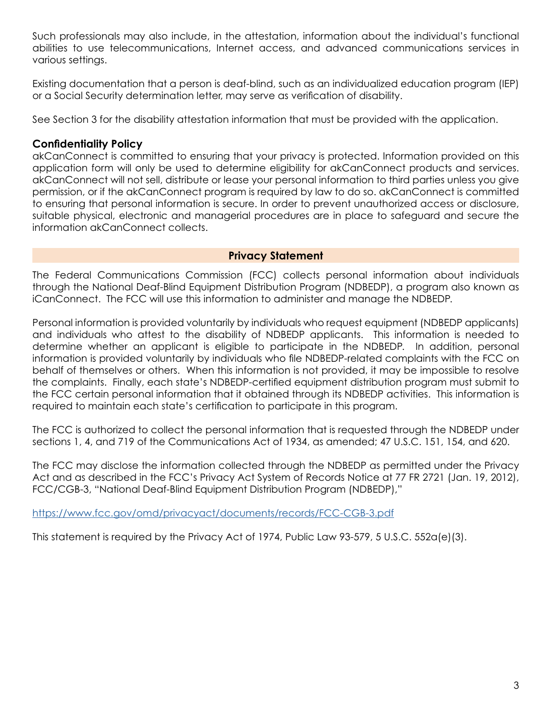Such professionals may also include, in the attestation, information about the individual's functional abilities to use telecommunications, Internet access, and advanced communications services in various settings.

Existing documentation that a person is deaf-blind, such as an individualized education program (IEP) or a Social Security determination letter, may serve as verification of disability.

See Section 3 for the disability attestation information that must be provided with the application.

### **Confidentiality Policy**

akCanConnect is committed to ensuring that your privacy is protected. Information provided on this application form will only be used to determine eligibility for akCanConnect products and services. akCanConnect will not sell, distribute or lease your personal information to third parties unless you give permission, or if the akCanConnect program is required by law to do so. akCanConnect is committed to ensuring that personal information is secure. In order to prevent unauthorized access or disclosure, suitable physical, electronic and managerial procedures are in place to safeguard and secure the information akCanConnect collects.

### **Privacy Statement**

The Federal Communications Commission (FCC) collects personal information about individuals through the National Deaf-Blind Equipment Distribution Program (NDBEDP), a program also known as iCanConnect. The FCC will use this information to administer and manage the NDBEDP.

Personal information is provided voluntarily by individuals who request equipment (NDBEDP applicants) and individuals who attest to the disability of NDBEDP applicants. This information is needed to determine whether an applicant is eligible to participate in the NDBEDP. In addition, personal information is provided voluntarily by individuals who file NDBEDP-related complaints with the FCC on behalf of themselves or others. When this information is not provided, it may be impossible to resolve the complaints. Finally, each state's NDBEDP-certified equipment distribution program must submit to the FCC certain personal information that it obtained through its NDBEDP activities. This information is required to maintain each state's certification to participate in this program.

The FCC is authorized to collect the personal information that is requested through the NDBEDP under sections 1, 4, and 719 of the Communications Act of 1934, as amended; 47 U.S.C. 151, 154, and 620.

The FCC may disclose the information collected through the NDBEDP as permitted under the Privacy Act and as described in the FCC's Privacy Act System of Records Notice at 77 FR 2721 (Jan. 19, 2012), FCC/CGB-3, "National Deaf-Blind Equipment Distribution Program (NDBEDP),"

<https://www.fcc.gov/omd/privacyact/documents/records/FCC-CGB-3.pdf>

This statement is required by the Privacy Act of 1974, Public Law 93-579, 5 U.S.C. 552a(e)(3).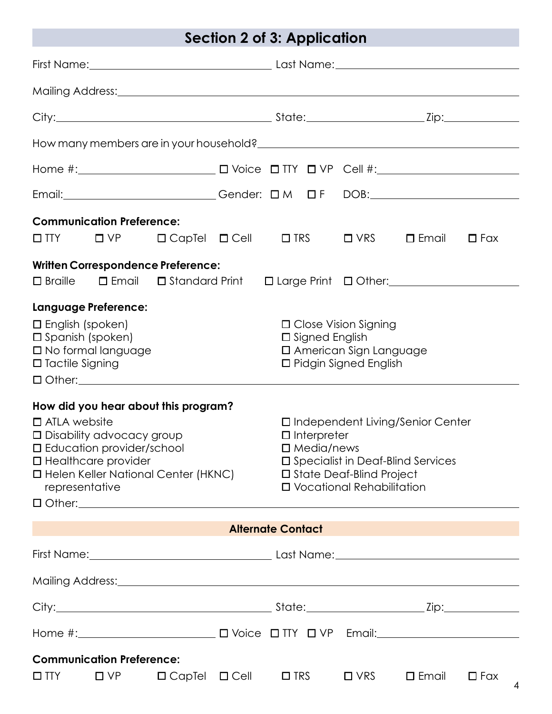# **Section 2 of 3: Application**

| Email:_____________________________Gender: DM DF DOB:___________________________                                                                                                                                           |                                                                                                         |                                                                                                             |                                                                           |                 |                 |
|----------------------------------------------------------------------------------------------------------------------------------------------------------------------------------------------------------------------------|---------------------------------------------------------------------------------------------------------|-------------------------------------------------------------------------------------------------------------|---------------------------------------------------------------------------|-----------------|-----------------|
| <b>Communication Preference:</b>                                                                                                                                                                                           |                                                                                                         |                                                                                                             |                                                                           | $\square$ Email | $\Box$ Fax      |
| <b>Written Correspondence Preference:</b><br>□ Braille □ Email □ Standard Print □ Large Print □ Other: <u>[11] Other: [11] Other:</u>                                                                                      |                                                                                                         |                                                                                                             |                                                                           |                 |                 |
| <b>Language Preference:</b><br>$\Box$ English (spoken)<br>$\square$ Spanish (spoken)<br>$\Box$ No formal language<br>$\Box$ Tactile Signing<br>$\Box$ Other: $\Box$                                                        |                                                                                                         | $\Box$ Close Vision Signing<br>□ Signed English<br>□ American Sign Language<br>$\Box$ Pidgin Signed English |                                                                           |                 |                 |
| How did you hear about this program?<br>$\Box$ ATLA website<br>$\Box$ Disability advocacy group<br>$\square$ Education provider/school<br>□ Healthcare provider<br>□ Helen Keller National Center (HKNC)<br>representative | $\Box$ Interpreter<br>$\square$ Media/news<br>□ State Deaf-Blind Project<br>□ Vocational Rehabilitation |                                                                                                             | □ Independent Living/Senior Center<br>□ Specialist in Deaf-Blind Services |                 |                 |
| <u> 1999 - Johann Barnett, mars et al. 1999 - Anna ann an t-Anna ann an t-Anna ann an t-Anna ann an t-Anna ann an</u>                                                                                                      |                                                                                                         | <b>Alternate Contact</b>                                                                                    |                                                                           |                 |                 |
|                                                                                                                                                                                                                            |                                                                                                         |                                                                                                             |                                                                           |                 |                 |
|                                                                                                                                                                                                                            |                                                                                                         |                                                                                                             |                                                                           |                 |                 |
|                                                                                                                                                                                                                            |                                                                                                         |                                                                                                             |                                                                           |                 |                 |
|                                                                                                                                                                                                                            |                                                                                                         |                                                                                                             |                                                                           |                 |                 |
| <b>Communication Preference:</b><br>$\square$ TTY<br>$\Box$ $\vee$ $\vdash$                                                                                                                                                | $\Box$ CapTel $\Box$ Cell                                                                               | $\Box$ TRS                                                                                                  | $\Box$ VRS                                                                | $\square$ Email | $\Box$ Fax<br>4 |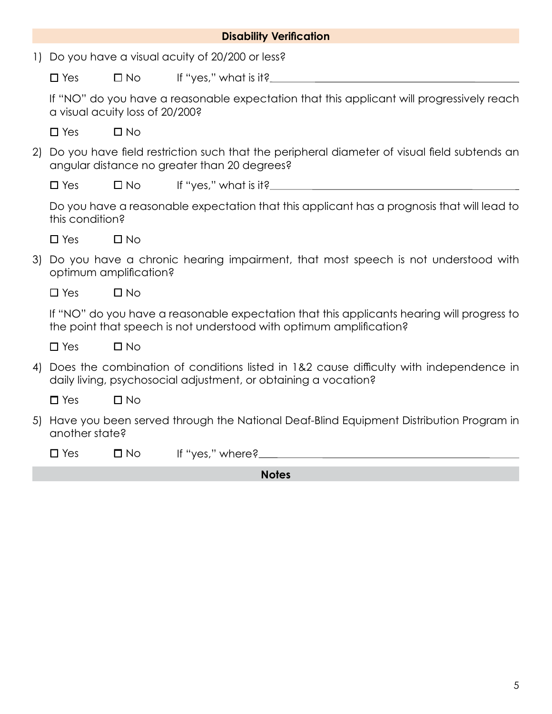|                        |                 |                                 | <b>Disability Verification</b>                                                                                                                                    |
|------------------------|-----------------|---------------------------------|-------------------------------------------------------------------------------------------------------------------------------------------------------------------|
| $\left  \cdot \right $ |                 |                                 | Do you have a visual acuity of 20/200 or less?                                                                                                                    |
|                        | $\Box$ Yes      | $\square$ No                    |                                                                                                                                                                   |
|                        |                 | a visual acuity loss of 20/200? | If "NO" do you have a reasonable expectation that this applicant will progressively reach                                                                         |
|                        | $\Box$ Yes      | $\Box$ No                       |                                                                                                                                                                   |
| 2)                     |                 |                                 | Do you have field restriction such that the peripheral diameter of visual field subtends an<br>angular distance no greater than 20 degrees?                       |
|                        | $\Box$ Yes      | $\square$ No                    |                                                                                                                                                                   |
|                        | this condition? |                                 | Do you have a reasonable expectation that this applicant has a prognosis that will lead to                                                                        |
|                        | $\Box$ Yes      | $\square$ No                    |                                                                                                                                                                   |
| 3)                     |                 | optimum amplification?          | Do you have a chronic hearing impairment, that most speech is not understood with                                                                                 |
|                        | $\Box$ Yes      | $\square$ No                    |                                                                                                                                                                   |
|                        |                 |                                 | If "NO" do you have a reasonable expectation that this applicants hearing will progress to<br>the point that speech is not understood with optimum amplification? |
|                        | $\square$ Yes   | $\square$ No                    |                                                                                                                                                                   |
| 4)                     |                 |                                 | Does the combination of conditions listed in 1&2 cause difficulty with independence in<br>daily living, psychosocial adjustment, or obtaining a vocation?         |
|                        | $\square$ Yes   | $\Box$ No                       |                                                                                                                                                                   |
| 5)                     | another state?  |                                 | Have you been served through the National Deaf-Blind Equipment Distribution Program in                                                                            |
|                        | $\square$ Yes   | $\square$ No                    |                                                                                                                                                                   |
|                        |                 |                                 |                                                                                                                                                                   |

**Notes**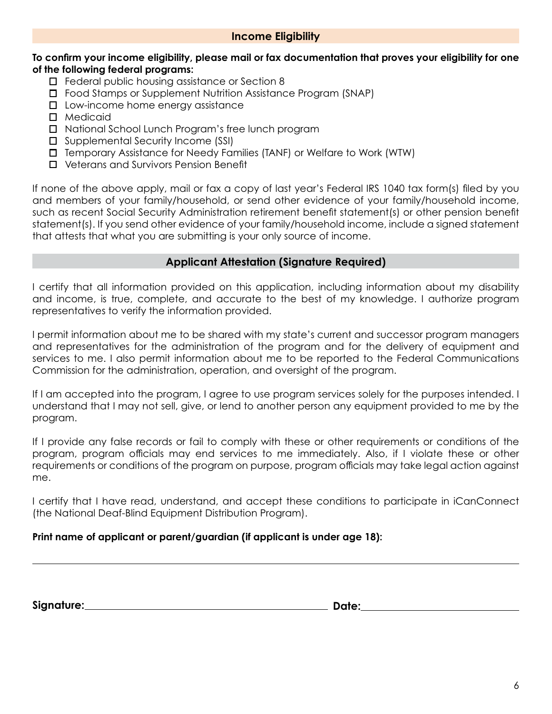### **Income Eligibility**

#### **To confirm your income eligibility, please mail or fax documentation that proves your eligibility for one of the following federal programs:**

- □ Federal public housing assistance or Section 8
- Food Stamps or Supplement Nutrition Assistance Program (SNAP)
- $\square$  Low-income home energy assistance
- Medicaid
- □ National School Lunch Program's free lunch program
- $\square$  Supplemental Security Income (SSI)
- Temporary Assistance for Needy Families (TANF) or Welfare to Work (WTW)
- Veterans and Survivors Pension Benefit

If none of the above apply, mail or fax a copy of last year's Federal IRS 1040 tax form(s) filed by you and members of your family/household, or send other evidence of your family/household income, such as recent Social Security Administration retirement benefit statement(s) or other pension benefit statement(s). If you send other evidence of your family/household income, include a signed statement that attests that what you are submitting is your only source of income.

### **Applicant Attestation (Signature Required)**

I certify that all information provided on this application, including information about my disability and income, is true, complete, and accurate to the best of my knowledge. I authorize program representatives to verify the information provided.

I permit information about me to be shared with my state's current and successor program managers and representatives for the administration of the program and for the delivery of equipment and services to me. I also permit information about me to be reported to the Federal Communications Commission for the administration, operation, and oversight of the program.

If I am accepted into the program, I agree to use program services solely for the purposes intended. I understand that I may not sell, give, or lend to another person any equipment provided to me by the program.

If I provide any false records or fail to comply with these or other requirements or conditions of the program, program officials may end services to me immediately. Also, if I violate these or other requirements or conditions of the program on purpose, program officials may take legal action against me.

I certify that I have read, understand, and accept these conditions to participate in iCanConnect (the National Deaf-Blind Equipment Distribution Program).

### **Print name of applicant or parent/guardian (if applicant is under age 18):**

| Signature: | Date: |
|------------|-------|
|            |       |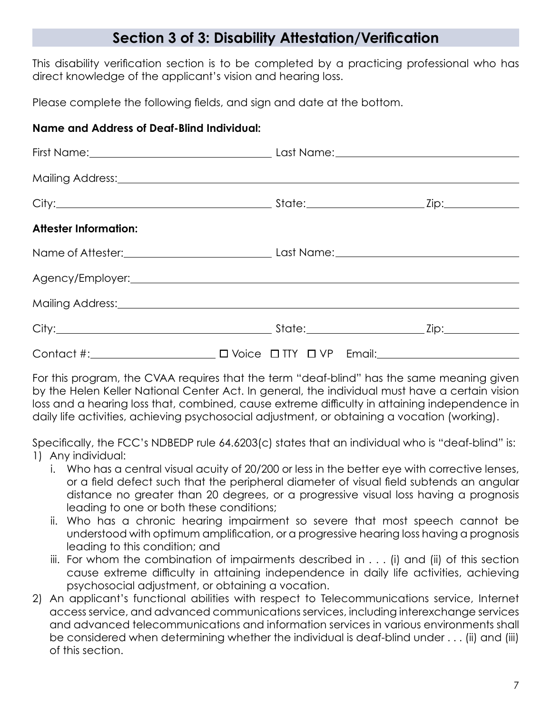# **Section 3 of 3: Disability Attestation/Verification**

This disability verification section is to be completed by a practicing professional who has direct knowledge of the applicant's vision and hearing loss.

Please complete the following fields, and sign and date at the bottom.

## **Name and Address of Deaf-Blind Individual:**

|                              | Mailing Address: Mailing Address: Mail and Mail and Mail and Mail and Mail and Mail and Mail and Mail and Mail |  |
|------------------------------|----------------------------------------------------------------------------------------------------------------|--|
|                              |                                                                                                                |  |
| <b>Attester Information:</b> |                                                                                                                |  |
|                              |                                                                                                                |  |
|                              |                                                                                                                |  |
|                              |                                                                                                                |  |
|                              |                                                                                                                |  |
|                              |                                                                                                                |  |

For this program, the CVAA requires that the term "deaf-blind" has the same meaning given by the Helen Keller National Center Act. In general, the individual must have a certain vision loss and a hearing loss that, combined, cause extreme difficulty in attaining independence in daily life activities, achieving psychosocial adjustment, or obtaining a vocation (working).

Specifically, the FCC's NDBEDP rule 64.6203(c) states that an individual who is "deaf-blind" is: 1) Any individual:

- i. Who has a central visual acuity of 20/200 or less in the better eye with corrective lenses, or a field defect such that the peripheral diameter of visual field subtends an angular distance no greater than 20 degrees, or a progressive visual loss having a prognosis leading to one or both these conditions;
- ii. Who has a chronic hearing impairment so severe that most speech cannot be understood with optimum amplification, or a progressive hearing loss having a prognosis leading to this condition; and
- iii. For whom the combination of impairments described in . . . (i) and (ii) of this section cause extreme difficulty in attaining independence in daily life activities, achieving psychosocial adjustment, or obtaining a vocation.
- 2) An applicant's functional abilities with respect to Telecommunications service, Internet access service, and advanced communications services, including interexchange services and advanced telecommunications and information services in various environments shall be considered when determining whether the individual is deaf-blind under . . . (ii) and (iii) of this section.